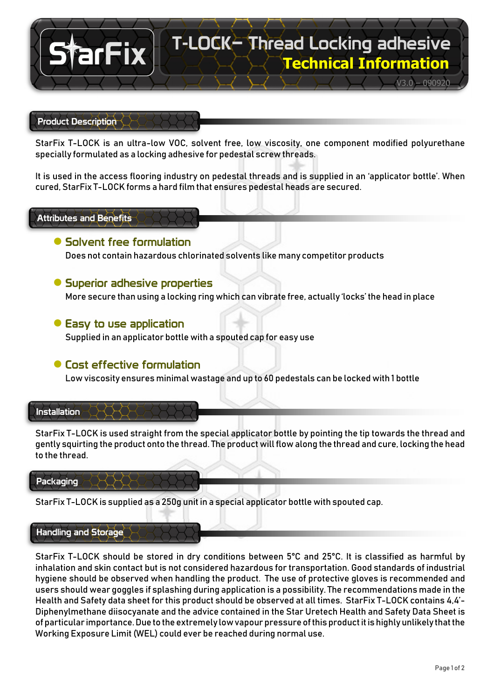

## Product Description

StarFix T-LOCK is an ultra-low VOC, solvent free, low viscosity, one component modified polyurethane specially formulated as a locking adhesive for pedestal screw threads.

It is used in the access flooring industry on pedestal threads and is supplied in an 'applicator bottle'. When cured, StarFix T-LOCK forms a hard film that ensures pedestal heads are secured.

## Attributes and Benefits

## **●** Solvent free formulation

Does not contain hazardous chlorinated solvents like many competitor products

## **●** Superior adhesive properties

More secure than using a locking ring which can vibrate free, actually 'locks' the head in place

### **●** Easy to use application

Supplied in an applicator bottle with a spouted cap for easy use

# **●** Cost effective formulation

Low viscosity ensures minimal wastage and up to 60 pedestals can be locked with 1 bottle

#### Installation

StarFix T-LOCK is used straight from the special applicator bottle by pointing the tip towards the thread and gently squirting the product onto the thread. The product will flow along the thread and cure, locking the head to the thread.

#### Packaging

StarFix T-LOCK is supplied as a 250g unit in a special applicator bottle with spouted cap.

### Handling and Storage

StarFix T-LOCK should be stored in dry conditions between 5°C and 25°C. It is classified as harmful by inhalation and skin contact but is not considered hazardous for transportation. Good standards of industrial hygiene should be observed when handling the product. The use of protective gloves is recommended and users should wear goggles if splashing during application is a possibility. The recommendations made in the Health and Safety data sheet for this product should be observed at all times. StarFix T-LOCK contains 4,4'- Diphenylmethane diisocyanate and the advice contained in the Star Uretech Health and Safety Data Sheet is of particular importance. Due to the extremely low vapour pressure of this product it is highly unlikely that the Working Exposure Limit (WEL) could ever be reached during normal use.